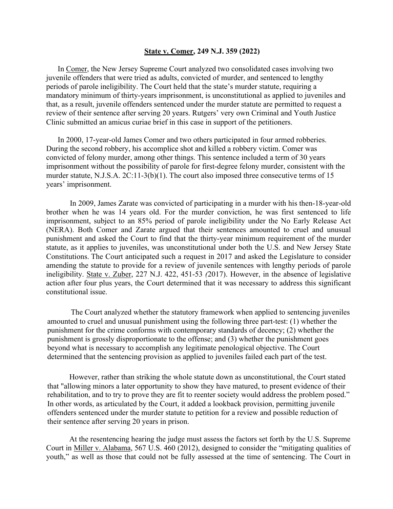## **State v. Comer, 249 N.J. 359 (2022)**

In Comer, the New Jersey Supreme Court analyzed two consolidated cases involving two juvenile offenders that were tried as adults, convicted of murder, and sentenced to lengthy periods of parole ineligibility. The Court held that the state's murder statute, requiring a mandatory minimum of thirty-years imprisonment, is unconstitutional as applied to juveniles and that, as a result, juvenile offenders sentenced under the murder statute are permitted to request a review of their sentence after serving 20 years. Rutgers' very own Criminal and Youth Justice Clinic submitted an amicus curiae brief in this case in support of the petitioners.

In 2000, 17-year-old James Comer and two others participated in four armed robberies. During the second robbery, his accomplice shot and killed a robbery victim. Comer was convicted of felony murder, among other things. This sentence included a term of 30 years imprisonment without the possibility of parole for first-degree felony murder, consistent with the murder statute, N.J.S.A. 2C:11-3(b)(1). The court also imposed three consecutive terms of 15 years' imprisonment.

In 2009, James Zarate was convicted of participating in a murder with his then-18-year-old brother when he was 14 years old. For the murder conviction, he was first sentenced to life imprisonment, subject to an 85% period of parole ineligibility under the No Early Release Act (NERA). Both Comer and Zarate argued that their sentences amounted to cruel and unusual punishment and asked the Court to find that the thirty-year minimum requirement of the murder statute, as it applies to juveniles, was unconstitutional under both the U.S. and New Jersey State Constitutions. The Court anticipated such a request in 2017 and asked the Legislature to consider amending the statute to provide for a review of juvenile sentences with lengthy periods of parole ineligibility. State v. Zuber, 227 N.J. 422, 451-53 *(*2017). However, in the absence of legislative action after four plus years, the Court determined that it was necessary to address this significant constitutional issue.

The Court analyzed whether the statutory framework when applied to sentencing juveniles amounted to cruel and unusual punishment using the following three part-test: (1) whether the punishment for the crime conforms with contemporary standards of decency; (2) whether the punishment is grossly disproportionate to the offense; and (3) whether the punishment goes beyond what is necessary to accomplish any legitimate penological objective. The Court determined that the sentencing provision as applied to juveniles failed each part of the test.

However, rather than striking the whole statute down as unconstitutional, the Court stated that "allowing minors a later opportunity to show they have matured, to present evidence of their rehabilitation, and to try to prove they are fit to reenter society would address the problem posed." In other words, as articulated by the Court, it added a lookback provision, permitting juvenile offenders sentenced under the murder statute to petition for a review and possible reduction of their sentence after serving 20 years in prison.

At the resentencing hearing the judge must assess the factors set forth by the U.S. Supreme Court in Miller v. Alabama, 567 U.S. 460 (2012), designed to consider the "mitigating qualities of youth," as well as those that could not be fully assessed at the time of sentencing. The Court in